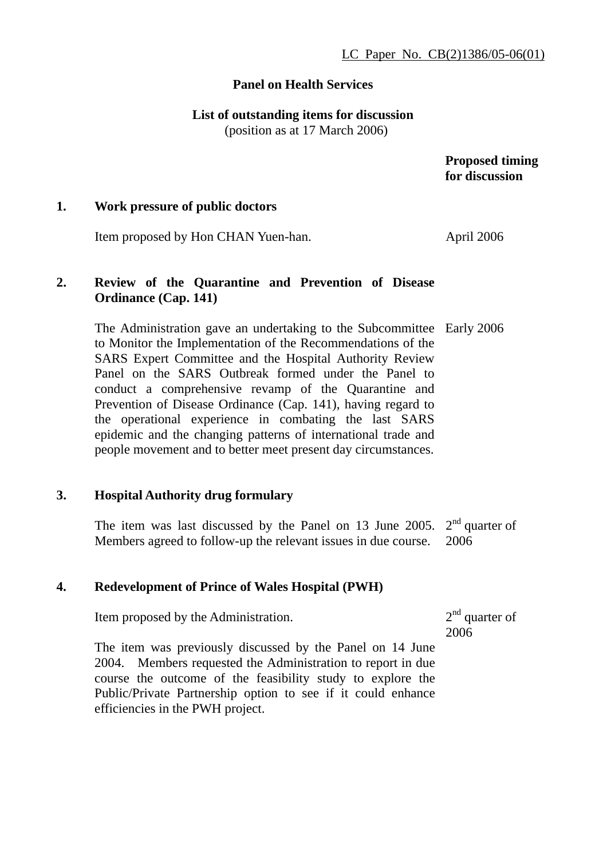### **Panel on Health Services**

**List of outstanding items for discussion** 

(position as at 17 March 2006)

 **Proposed timing for discussion** 

## **1. Work pressure of public doctors**

Item proposed by Hon CHAN Yuen-han. April 2006

## **2. Review of the Quarantine and Prevention of Disease Ordinance (Cap. 141)**

The Administration gave an undertaking to the Subcommittee Early 2006 to Monitor the Implementation of the Recommendations of the SARS Expert Committee and the Hospital Authority Review Panel on the SARS Outbreak formed under the Panel to conduct a comprehensive revamp of the Quarantine and Prevention of Disease Ordinance (Cap. 141), having regard to the operational experience in combating the last SARS epidemic and the changing patterns of international trade and people movement and to better meet present day circumstances.

#### **3. Hospital Authority drug formulary**

The item was last discussed by the Panel on 13 June 2005.  $2<sup>nd</sup>$  quarter of Members agreed to follow-up the relevant issues in due course. 2006

#### **4. Redevelopment of Prince of Wales Hospital (PWH)**

Item proposed by the Administration.

 $2<sup>nd</sup>$  quarter of 2006

The item was previously discussed by the Panel on 14 June 2004. Members requested the Administration to report in due course the outcome of the feasibility study to explore the Public/Private Partnership option to see if it could enhance efficiencies in the PWH project.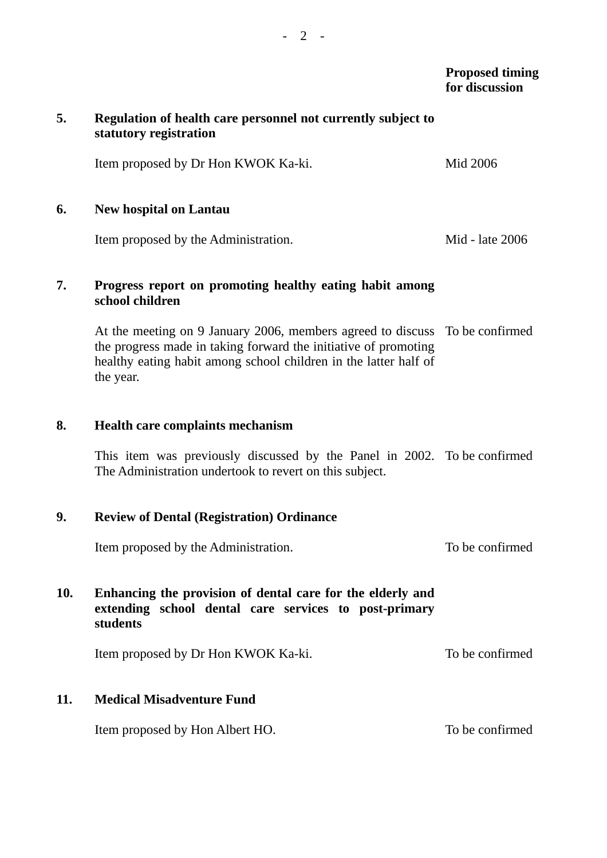## *Proposed timing* **for discussion**

| 5.  | Regulation of health care personnel not currently subject to<br>statutory registration                                                                                                                                          |                 |
|-----|---------------------------------------------------------------------------------------------------------------------------------------------------------------------------------------------------------------------------------|-----------------|
|     | Item proposed by Dr Hon KWOK Ka-ki.                                                                                                                                                                                             | Mid 2006        |
| 6.  | <b>New hospital on Lantau</b>                                                                                                                                                                                                   |                 |
|     | Item proposed by the Administration.                                                                                                                                                                                            | Mid - late 2006 |
| 7.  | Progress report on promoting healthy eating habit among<br>school children                                                                                                                                                      |                 |
|     | At the meeting on 9 January 2006, members agreed to discuss To be confirmed<br>the progress made in taking forward the initiative of promoting<br>healthy eating habit among school children in the latter half of<br>the year. |                 |
| 8.  | Health care complaints mechanism                                                                                                                                                                                                |                 |
|     | This item was previously discussed by the Panel in 2002. To be confirmed<br>The Administration undertook to revert on this subject.                                                                                             |                 |
| 9.  | <b>Review of Dental (Registration) Ordinance</b>                                                                                                                                                                                |                 |
|     | Item proposed by the Administration.                                                                                                                                                                                            | To be confirmed |
| 10. | Enhancing the provision of dental care for the elderly and<br>extending school dental care services to post-primary<br>students                                                                                                 |                 |
|     | Item proposed by Dr Hon KWOK Ka-ki.                                                                                                                                                                                             | To be confirmed |
| 11. | <b>Medical Misadventure Fund</b>                                                                                                                                                                                                |                 |
|     | Item proposed by Hon Albert HO.                                                                                                                                                                                                 | To be confirmed |